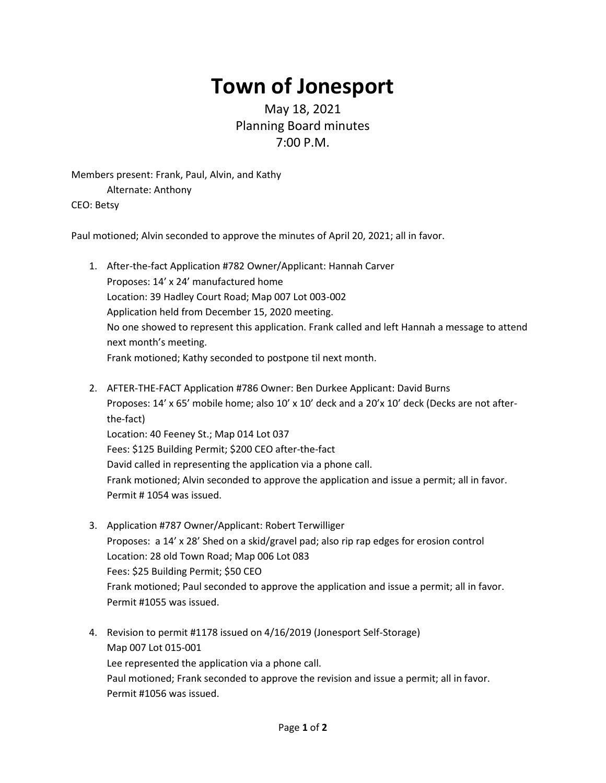## **Town of Jonesport**

## May 18, 2021 Planning Board minutes 7:00 P.M.

Members present: Frank, Paul, Alvin, and Kathy Alternate: Anthony CEO: Betsy

Paul motioned; Alvin seconded to approve the minutes of April 20, 2021; all in favor.

- 1. After-the-fact Application #782 Owner/Applicant: Hannah Carver Proposes: 14' x 24' manufactured home Location: 39 Hadley Court Road; Map 007 Lot 003-002 Application held from December 15, 2020 meeting. No one showed to represent this application. Frank called and left Hannah a message to attend next month's meeting. Frank motioned; Kathy seconded to postpone til next month.
- 2. AFTER-THE-FACT Application #786 Owner: Ben Durkee Applicant: David Burns Proposes: 14' x 65' mobile home; also 10' x 10' deck and a 20'x 10' deck (Decks are not afterthe-fact) Location: 40 Feeney St.; Map 014 Lot 037 Fees: \$125 Building Permit; \$200 CEO after-the-fact David called in representing the application via a phone call. Frank motioned; Alvin seconded to approve the application and issue a permit; all in favor. Permit # 1054 was issued.
- 3. Application #787 Owner/Applicant: Robert Terwilliger Proposes: a 14' x 28' Shed on a skid/gravel pad; also rip rap edges for erosion control Location: 28 old Town Road; Map 006 Lot 083 Fees: \$25 Building Permit; \$50 CEO Frank motioned; Paul seconded to approve the application and issue a permit; all in favor. Permit #1055 was issued.
- 4. Revision to permit #1178 issued on 4/16/2019 (Jonesport Self-Storage) Map 007 Lot 015-001 Lee represented the application via a phone call. Paul motioned; Frank seconded to approve the revision and issue a permit; all in favor. Permit #1056 was issued.